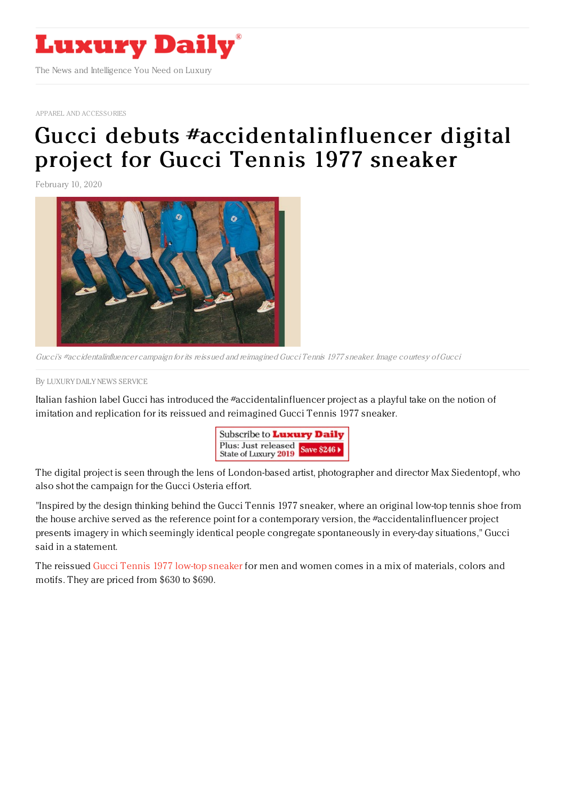

APPAREL AND [ACCESSORIES](https://www.luxurydaily.com/category/sectors/apparel-and-accessories/)

## Gucci debuts [#accidentalinfluencer](https://www.luxurydaily.com/gucci-debuts-accidentalinfluencer-digital-project-for-newly-launched-gucci-tennis-1977-sneaker/) digital project for Gucci Tennis 1977 sneaker

February 10, 2020



Gucci's #accidentalinfluencer campaign for its reissued and reimagined Gucci Tennis 1977 sneaker. Image courtesy ofGucci

By LUXURY DAILY NEWS [SERVICE](file:///author/luxury-daily-news-service)

Italian fashion label Gucci has introduced the #accidentalinfluencer project as a playful take on the notion of imitation and replication for its reissued and reimagined Gucci Tennis 1977 sneaker.



The digital project is seen through the lens of London-based artist, photographer and director Max Siedentopf, who also shot the campaign for the Gucci Osteria effort.

"Inspired by the design thinking behind the Gucci Tennis 1977 sneaker, where an original low-top tennis shoe from the house archive served as the reference point for a contemporary version, the #accidentalinfluencer project presents imagery in which seemingly identical people congregate spontaneously in every-day situations," Gucci said in a statement.

The reissued Gucci Tennis 1977 low-top [sneaker](https://www.gucci.com/us/en/st/capsule/gucci-tennis-1977-sneakers?utm_source=_US_F__NQP_&utm_medium=email&utm_campaign=20-02-10_360_GTennis1977SH20&gci=MjM0MTU5OTgwMDAwNDg0MDYxNw&utm_content=cta&siteid=Email&email_hash=d2cae6a9996210d3e53a89ee07f92b859ba6199b02d13c8a313a4873599a0525) for men and women comes in a mix of materials, colors and motifs. They are priced from \$630 to \$690.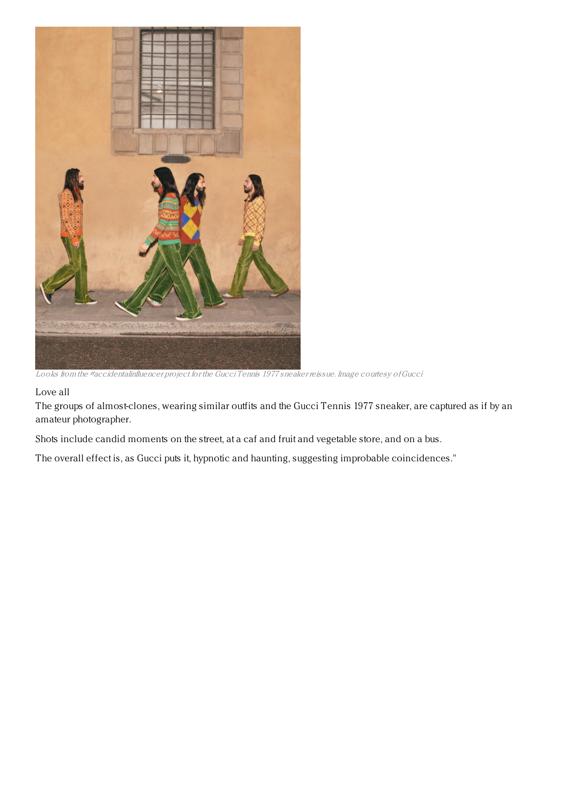

Looks from the #accidentalinfluencer project for the Gucci Tennis 1977 sneaker reissue. Image courtesy ofGucci

## Love all

The groups of almost-clones, wearing similar outfits and the Gucci Tennis 1977 sneaker, are captured as if by an amateur photographer.

Shots include candid moments on the street, at a caf and fruit and vegetable store, and on a bus.

The overall effect is, as Gucci puts it, hypnotic and haunting, suggesting improbable coincidences."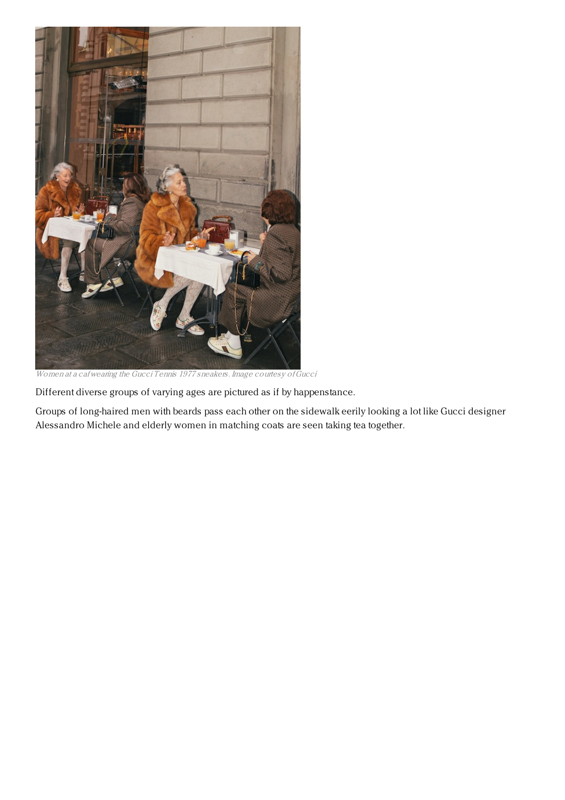

Women at <sup>a</sup> cafwearing the Gucci Tennis 1977 sneakers. Image courtesy ofGucci

Different diverse groups of varying ages are pictured as if by happenstance.

Groups of long-haired men with beards pass each other on the sidewalk eerily looking a lot like Gucci designer Alessandro Michele and elderly women in matching coats are seen taking tea together.